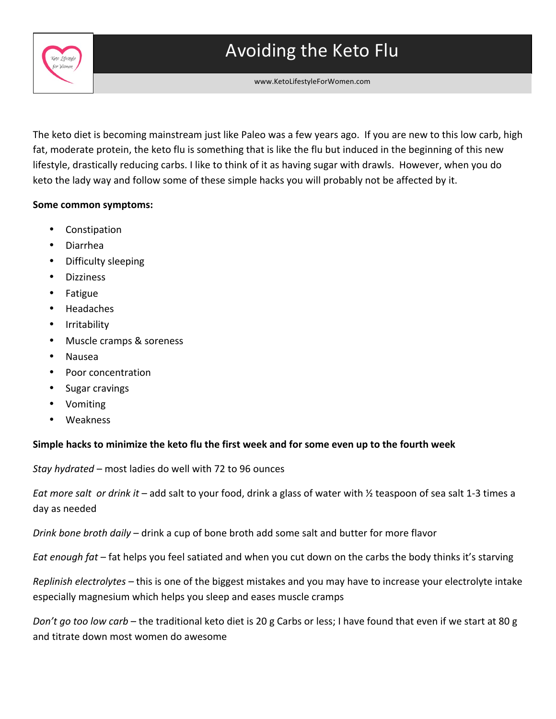



www.KetoLifestyleForWomen.com

The keto diet is becoming mainstream just like Paleo was a few years ago. If you are new to this low carb, high fat, moderate protein, the keto flu is something that is like the flu but induced in the beginning of this new lifestyle, drastically reducing carbs. I like to think of it as having sugar with drawls. However, when you do keto the lady way and follow some of these simple hacks you will probably not be affected by it.

## Some common symptoms:

 

- Constipation
- Diarrhea
- Difficulty sleeping
- Dizziness
- Fatigue
- Headaches
- **Irritability**
- Muscle cramps & soreness
- Nausea
- Poor concentration
- Sugar cravings
- Vomiting
- Weakness

## Simple hacks to minimize the keto flu the first week and for some even up to the fourth week

*Stay hydrated* – most ladies do well with 72 to 96 ounces

*Eat more salt or drink it* – add salt to your food, drink a glass of water with ½ teaspoon of sea salt 1-3 times a day as needed

*Drink bone broth daily* – drink a cup of bone broth add some salt and butter for more flavor

*Eat enough fat* – fat helps you feel satiated and when you cut down on the carbs the body thinks it's starving

*Replinish electrolytes* – this is one of the biggest mistakes and you may have to increase your electrolyte intake especially magnesium which helps you sleep and eases muscle cramps

*Don't go too low carb* – the traditional keto diet is 20 g Carbs or less; I have found that even if we start at 80 g and titrate down most women do awesome